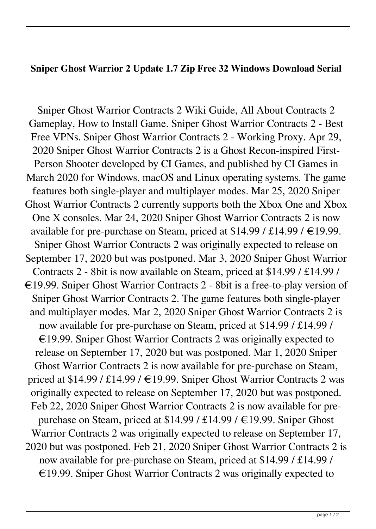## **Sniper Ghost Warrior 2 Update 1.7 Zip Free 32 Windows Download Serial**

Sniper Ghost Warrior Contracts 2 Wiki Guide, All About Contracts 2 Gameplay, How to Install Game. Sniper Ghost Warrior Contracts 2 - Best Free VPNs. Sniper Ghost Warrior Contracts 2 - Working Proxy. Apr 29, 2020 Sniper Ghost Warrior Contracts 2 is a Ghost Recon-inspired First-Person Shooter developed by CI Games, and published by CI Games in March 2020 for Windows, macOS and Linux operating systems. The game features both single-player and multiplayer modes. Mar 25, 2020 Sniper Ghost Warrior Contracts 2 currently supports both the Xbox One and Xbox One X consoles. Mar 24, 2020 Sniper Ghost Warrior Contracts 2 is now available for pre-purchase on Steam, priced at \$14.99 / £14.99 /  $\in$ 19.99. Sniper Ghost Warrior Contracts 2 was originally expected to release on September 17, 2020 but was postponed. Mar 3, 2020 Sniper Ghost Warrior Contracts 2 - 8bit is now available on Steam, priced at \$14.99 / £14.99 / €19.99. Sniper Ghost Warrior Contracts 2 - 8bit is a free-to-play version of Sniper Ghost Warrior Contracts 2. The game features both single-player and multiplayer modes. Mar 2, 2020 Sniper Ghost Warrior Contracts 2 is now available for pre-purchase on Steam, priced at \$14.99 / £14.99 /  $\epsilon$ 19.99. Sniper Ghost Warrior Contracts 2 was originally expected to release on September 17, 2020 but was postponed. Mar 1, 2020 Sniper Ghost Warrior Contracts 2 is now available for pre-purchase on Steam, priced at \$14.99 / £14.99 / €19.99. Sniper Ghost Warrior Contracts 2 was originally expected to release on September 17, 2020 but was postponed. Feb 22, 2020 Sniper Ghost Warrior Contracts 2 is now available for prepurchase on Steam, priced at \$14.99 / £14.99 / €19.99. Sniper Ghost Warrior Contracts 2 was originally expected to release on September 17, 2020 but was postponed. Feb 21, 2020 Sniper Ghost Warrior Contracts 2 is now available for pre-purchase on Steam, priced at \$14.99 / £14.99 / €19.99. Sniper Ghost Warrior Contracts 2 was originally expected to